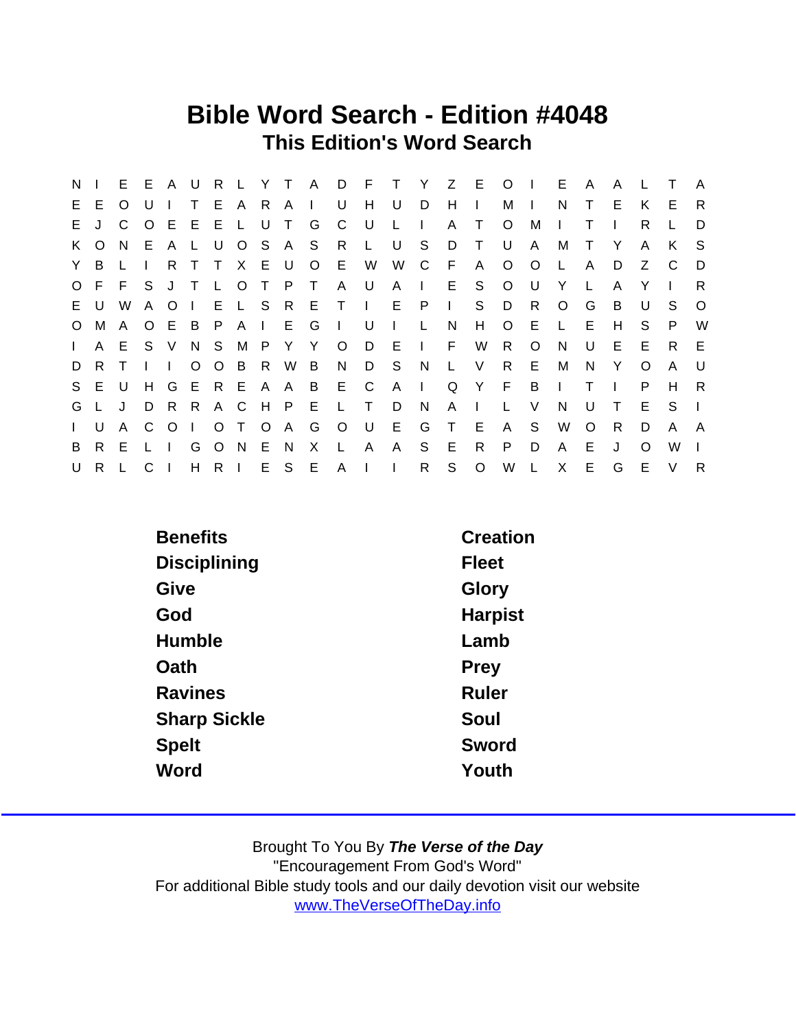## Bible Word Search - Edition #4048 This Edition's Word Search

| N.           |              |              | E E A U      |         |              |              |                |              |              |         |              | R L Y T A D F T |                |                |              | Y Z E O      |         | $\blacksquare$ | E.           | A            | A            |          |                | A        |
|--------------|--------------|--------------|--------------|---------|--------------|--------------|----------------|--------------|--------------|---------|--------------|-----------------|----------------|----------------|--------------|--------------|---------|----------------|--------------|--------------|--------------|----------|----------------|----------|
| E.           | E.           | O            |              |         | T.           |              | E A            | R.           | $\mathsf{A}$ | $\Box$  | U            | H               | U              | D              | H            | $\mathbf{L}$ | М       | $\Box$         | N            |              | E.           | K        | E              | R        |
| E.           | $\mathbf{J}$ | C.           |              |         | OEEEL        |              |                | U            | T            | G       | C            | - U             | $\mathsf{L}$   | $\mathbf{I}$   | A            | $\top$       | $\circ$ | М              | $\mathbf{L}$ | Т            |              | R        |                | D        |
|              | K O          | N.           |              | E A     | L.           | U            | $\overline{O}$ |              |              | SAS R   |              | L.              | U              | S.             | D            | $\top$       | U       | A              | M            | $\top$       | Y            | A        | K              | - S      |
| Y.           | B.           |              | -1           | R.      | $\top$       | T.           | X              | E U          |              | $\circ$ | E.           | W               | W              | $\mathbf C$    | F            | A            | $\circ$ | $\circ$        | $\mathsf{L}$ | A            | D            | Z        | $\overline{C}$ | D        |
|              | O F          |              | F S J T      |         |              | $\mathsf{L}$ | $\circ$        | $\top$       | P T          |         | AU           |                 | $\mathsf{A}$   | $\mathbb{R}^n$ | E            | S.           | $\circ$ | U              | Y            | $\mathbf{L}$ | A            | Y        |                | R.       |
|              | EU.          | W            | $\mathsf{A}$ | $\circ$ | $\mathbf{1}$ |              |                |              |              |         | ELSRETI      |                 |                | E P            | $\mathbf{L}$ | S            | D       | R              | $\circ$      | G            | B            | U        | S.             | $\Omega$ |
| $\circ$      | M            | $\mathsf{A}$ | O E          |         | B            | P A          |                |              | I E G        |         | $\sim 1$     | . U             | $\blacksquare$ | L              | N            | H            | $\circ$ | E              | $\mathsf{L}$ | Е            | H            | S.       | P              | W        |
| $\mathbf{L}$ | A            | E            |              | S V     |              | N S M        |                | $\mathsf{P}$ | Y Y          |         | $\circ$      | D               | - E            | $\sim 1$ .     | F.           | W            | R       | $\circ$        | N            | U            | E.           | E        | R.             | E        |
| D            | R.           | $\top$       | $\mathbf{L}$ |         |              | O O B        |                | R            | W B          |         | N.           | D               | - S            | N              | $\mathsf{L}$ | V            | R.      | E              | М            | N.           | Y            | $\Omega$ | A              | U        |
|              | S E U        |              | H            | G       | E R E        |              |                |              | A A B        |         | E –          | C               | $A \mid$       |                |              | Q Y F        |         | B              | $\mathbf{I}$ | $\top$       | $\mathbf{I}$ | P.       | H              | R        |
| G            |              | J            | D            | -R      | R.           |              | A C            | H            | $\mathsf{P}$ | E       | $\mathsf{L}$ | $\top$          | D              | N              | A            | $\mathbf{L}$ |         | V              | N            | U            | $\top$       | Е        | S.             |          |
| $\mathbf{L}$ | U            | A            | C.           | $\circ$ | $\perp$      |              | O T            | $\circ$      | A G          |         | $\circ$      | . U             | E.             | G              | $\top$       | E.           | A       | S.             | W            | $\Omega$     | R            | D        | A              | A        |
| B            | R.           | E            |              |         | G            |              | O N            | E.           | N.           | X       | L.           | $\mathsf{A}$    | $\mathsf{A}$   | S.             | E            | $\mathsf{R}$ | P.      | D              | $\mathsf{A}$ | E.           | $\cdot$      | $\Omega$ | W              |          |
| U            | R.           |              | C.           |         |              | H R I        |                |              |              |         | E S E A I    |                 | $\Box$         | R.             | S            | $\circ$      | W       | L              | $\mathsf{X}$ | E.           | G            | E        | $\vee$         | R        |

| <b>Benefits</b>     | Creation     |
|---------------------|--------------|
| <b>Disciplining</b> | <b>Fleet</b> |
| Give                | Glory        |
| God                 | Harpist      |
| Humble              | Lamb         |
| Oath                | Prey         |
| <b>Ravines</b>      | <b>Ruler</b> |
| <b>Sharp Sickle</b> | Soul         |
| <b>Spelt</b>        | Sword        |
| Word                | Youth        |
|                     |              |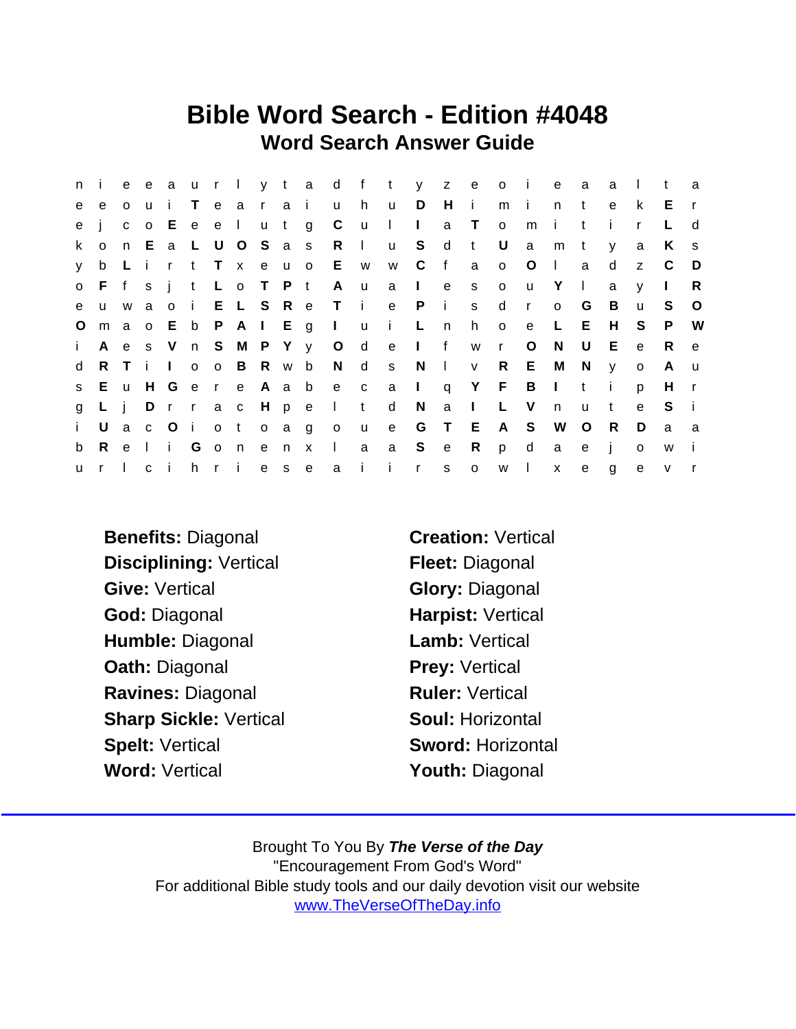## Bible Word Search - Edition #4048 Word Search Answer Guide

| n i          |              |              |              |                             |         |       |                    |     |       |                     |               |                           |              |                |                |              | e e a u r l y t a d f t y z e o i |              | e            | a            | a        | $\mathbf{L}$ | $^{\dagger}$ | a            |
|--------------|--------------|--------------|--------------|-----------------------------|---------|-------|--------------------|-----|-------|---------------------|---------------|---------------------------|--------------|----------------|----------------|--------------|-----------------------------------|--------------|--------------|--------------|----------|--------------|--------------|--------------|
| e            | e            | o u          |              | $\mathbf{1}$                |         | T e a |                    |     | r a i |                     | $\mathsf{u}$  | h                         | <b>u</b>     | D              | H.             | $\mathbf{I}$ | m                                 | - i -        | n.           | t            | e        | k            | E            |              |
| e            |              |              | $C$ $O$      | E.                          | e e l   |       |                    |     | u t   | g                   | C             | <b>u</b>                  | $\mathbf{I}$ | $\sim 1$ .     | a              | $\mathsf{T}$ | $\circ$                           | m            | i.           | t            | Ť.       | $\mathsf{r}$ |              | d            |
| k.           | $\mathsf{o}$ |              |              |                             |         |       | n E a L U O S a s  |     |       |                     | R             | $\mathbf{1}$              | <b>u</b>     | S              | $\mathsf{d}$   | $-t$         | U                                 | a            | m            | $\mathsf{t}$ | <b>V</b> | a            | K            | S.           |
| y.           | b            | $\mathsf{L}$ | $\mathbf{i}$ |                             |         |       | r t T x e u o      |     |       |                     | E             | <b>W</b>                  | W            | $\mathbf{C}$   | f              | a            | $\circ$                           | $\circ$      | $\mathbb{R}$ | a            | d        | Z.           | - C          | - D          |
|              | o Ffsit      |              |              |                             |         | L o   |                    |     | T P t |                     | A             | <b>u</b>                  | a            | $\mathbb{R}^n$ | e              | S            | $\circ$                           | <b>u</b>     | Y            | $\perp$      | a        | $\mathsf{V}$ | $\mathbf{I}$ | R.           |
| e            | <b>u</b>     | W            | $\mathbf{a}$ | o i                         |         |       | E L S R e          |     |       |                     | Ti            |                           | e            | $\mathsf{P}$   | $\blacksquare$ | S            | d                                 | $\mathsf{r}$ | $\circ$      | G            | B        | $\mathbf{u}$ | S.           | $\circ$      |
| $\circ$      |              |              |              |                             |         |       | ma o E b P A I E g |     |       |                     |               | lui L                     |              |                | n              | h o          |                                   | e            | L.           | E            | H        | S.           | P.           | W            |
| $\mathbf{i}$ | $\mathsf{A}$ |              |              |                             |         |       |                    |     |       | e s V n S M P Y y O |               | $\mathsf{d}$              |              | e I f          |                | W            | r                                 | $\circ$      | N            | U            | E        | $\mathbf{e}$ | R.           | e            |
| d            |              |              |              | RTII                        |         |       | o o B R w b        |     |       |                     |               | N d s                     |              | N,             | $\mathbf{I}$   | V            | R                                 | E.           | M            | N.           | <b>y</b> | $\circ$      | $\mathsf{A}$ | <b>u</b>     |
| S            | E            | u            | H G          |                             |         |       | er e A a b         |     |       |                     | e c           |                           |              | $a \mid$       | $\mathsf{q}$   | Y F          |                                   | B            | $\Box$       | t            | - i -    | p            | H            | $\mathsf{r}$ |
| g            | $L$ i        |              | D            |                             |         |       | r r a c H p e      |     |       |                     | and the state | t                         | d            | N              | a              | $\mathbf{I}$ | $\mathsf{L}$                      | $\vee$       | n.           | $\mathbf{u}$ | t        | $\mathbf{e}$ | S.           | -i-          |
| i.           | U            |              |              |                             | a c O i |       |                    |     |       | o t o a g o         |               | $\mathsf{u}$              | e            |                | G T            | E            | A –                               | S.           | W            | $\circ$      | R.       | D            | a            | - a          |
| b            | $\mathsf{R}$ | e e          | $\mathbf{I}$ | $\mathbf{H}^{\mathrm{max}}$ |         |       | Gonenx             |     |       |                     | $\Box$        | a                         |              | a S e          |                | $\mathsf{R}$ | p                                 | $\mathsf{d}$ | a            | e            | -i -     | $\mathbf{o}$ | W            | - i          |
| <b>u</b>     | r I          |              | $\mathbf{C}$ | Ť.                          |         |       | h r i              | e s |       | e                   | a             | $\mathbf{i}$ $\mathbf{i}$ |              | $\mathbf{r}$   | S              | $\circ$      | W                                 | $\mathbf{L}$ | $\mathsf{X}$ | $\mathbf{e}$ | g        | $\mathbf{e}$ | $\mathsf{v}$ |              |

- Benefits: Diagonal **Creation: Vertical** Disciplining: Vertical Fleet: Diagonal Give: Vertical **Give:** Vertical Cive: Diagonal God: Diagonal **Harpist: Vertical** Humble: Diagonal Lamb: Vertical Oath: Diagonal Prey: Vertical Ravines: Diagonal Ravines: Networkship Ruler: Vertical Sharp Sickle: Vertical Soul: Horizontal Spelt: Vertical Sword: Horizontal Word: Vertical **Word: Vertical** Word: Vertical Annual Vouth: Diagonal
-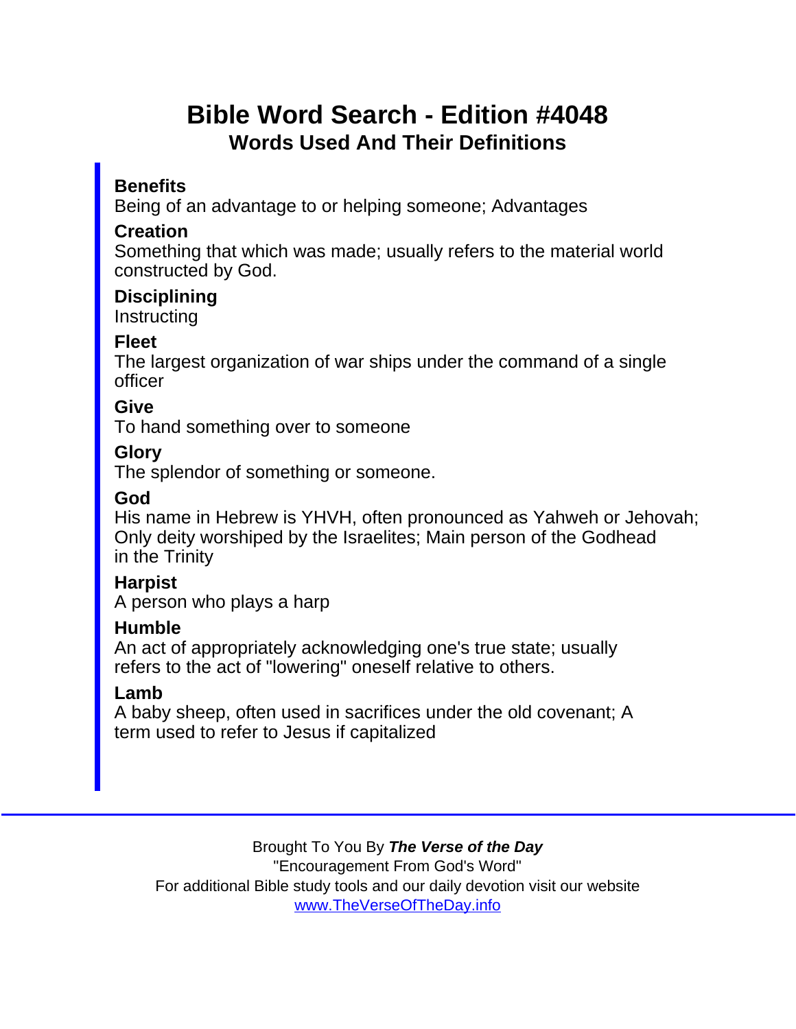# Bible Word Search - Edition #4048 Words Used And Their Definitions

### **Benefits**

Being of an advantage to or helping someone; Advantages

#### **Creation**

Something that which was made; usually refers to the material world constructed by God.

**Disciplining Instructing** 

#### Fleet

The largest organization of war ships under the command of a single officer

#### **Give**

To hand something over to someone

#### Glory

The splendor of something or someone.

#### God

His name in Hebrew is YHVH, often pronounced as Yahweh or Jehovah; Only deity worshiped by the Israelites; Main person of the Godhead in the Trinity

**Harpist** 

A person who plays a harp

#### **Humble**

An act of appropriately acknowledging one's true state; usually refers to the act of "lowering" oneself relative to others.

#### Lamb

A baby sheep, often used in sacrifices under the old covenant; A term used to refer to Jesus if capitalized